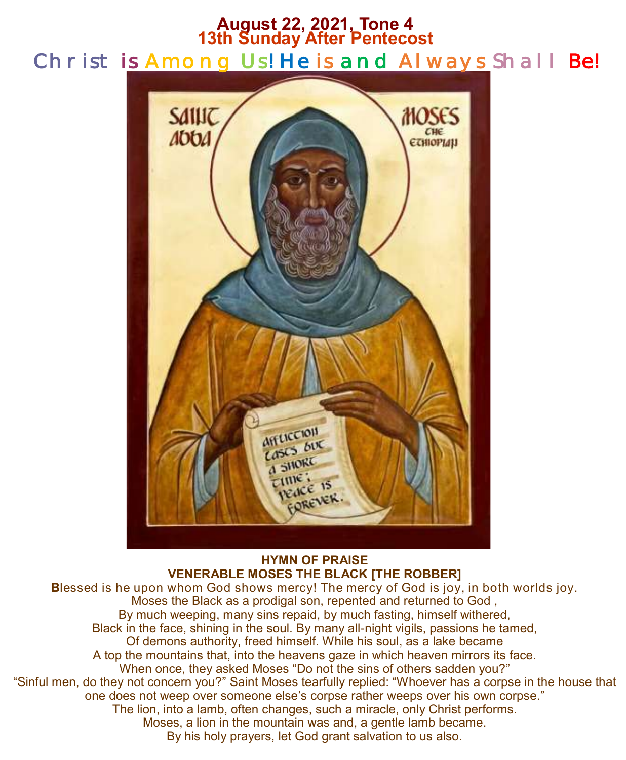### **August 22, 2021, Tone 4 13th Sunday After Pentecost**  Christ is Among Us! He is and Always Shall Be!



**HYMN OF PRAISE VENERABLE MOSES THE BLACK [THE ROBBER]**

**B**lessed is he upon whom God shows mercy! The mercy of God is joy, in both worlds joy. Moses the Black as a prodigal son, repented and returned to God , By much weeping, many sins repaid, by much fasting, himself withered, Black in the face, shining in the soul. By many all-night vigils, passions he tamed, Of demons authority, freed himself. While his soul, as a lake became A top the mountains that, into the heavens gaze in which heaven mirrors its face. When once, they asked Moses "Do not the sins of others sadden you?" "Sinful men, do they not concern you?" Saint Moses tearfully replied: "Whoever has a corpse in the house that one does not weep over someone else's corpse rather weeps over his own corpse." The lion, into a lamb, often changes, such a miracle, only Christ performs. Moses, a lion in the mountain was and, a gentle lamb became. By his holy prayers, let God grant salvation to us also.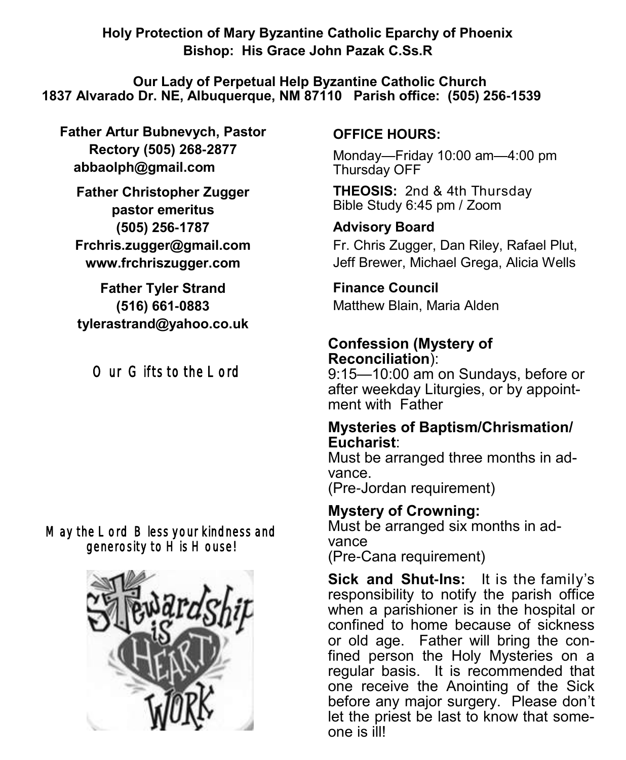**Holy Protection of Mary Byzantine Catholic Eparchy of Phoenix Bishop: His Grace John Pazak C.Ss.R**

**Our Lady of Perpetual Help Byzantine Catholic Church 1837 Alvarado Dr. NE, Albuquerque, NM 87110 Parish office: (505) 256-1539**

**Father Artur Bubnevych, Pastor Rectory (505) 268-2877 abbaolph@gmail.com** 

**Father Christopher Zugger pastor emeritus (505) 256-1787 Frchris.zugger@gmail.com www.frchriszugger.com** 

**Father Tyler Strand (516) 661-0883 tylerastrand@yahoo.co.uk**

Our Gifts to the Lord

### May the Lord Bless your kindness and generosity to His House!



### **OFFICE HOURS:**

Monday—Friday 10:00 am—4:00 pm Thursday OFF

**THEOSIS:** 2nd & 4th Thursday Bible Study 6:45 pm / Zoom

### **Advisory Board**

Fr. Chris Zugger, Dan Riley, Rafael Plut, Jeff Brewer, Michael Grega, Alicia Wells

# **Finance Council**

Matthew Blain, Maria Alden

### **Confession (Mystery of Reconciliation**):

9:15—10:00 am on Sundays, before or after weekday Liturgies, or by appointment with Father

### **Mysteries of Baptism/Chrismation/ Eucharist**:

Must be arranged three months in advance.

(Pre-Jordan requirement)

#### **Mystery of Crowning:**  Must be arranged six months in advance (Pre-Cana requirement)

**Sick and Shut-Ins:** It is the family's responsibility to notify the parish office when a parishioner is in the hospital or confined to home because of sickness or old age. Father will bring the confined person the Holy Mysteries on a regular basis. It is recommended that one receive the Anointing of the Sick before any major surgery. Please don't let the priest be last to know that someone is ill!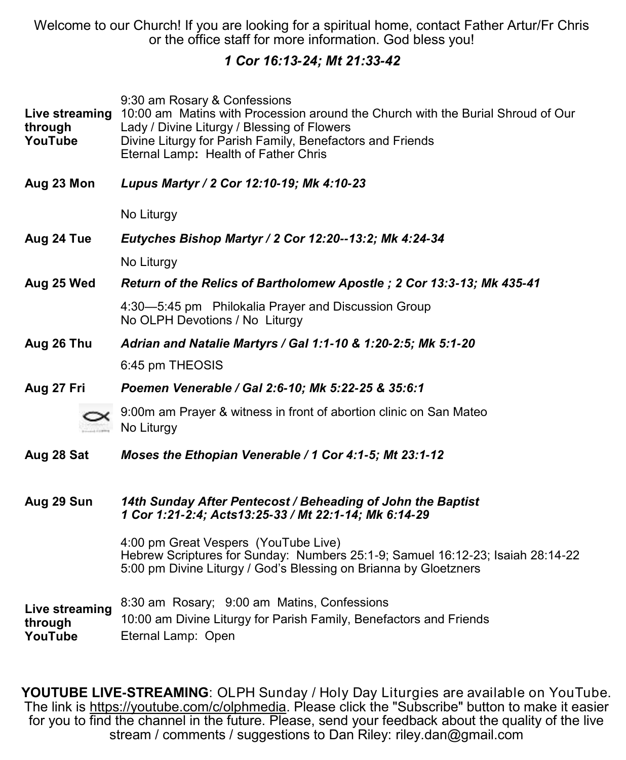Welcome to our Church! If you are looking for a spiritual home, contact Father Artur/Fr Chris or the office staff for more information. God bless you!

### *1 Cor 16:13-24; Mt 21:33-42*

| Live streaming<br>through<br>YouTube | 9:30 am Rosary & Confessions<br>10:00 am Matins with Procession around the Church with the Burial Shroud of Our<br>Lady / Divine Liturgy / Blessing of Flowers<br>Divine Liturgy for Parish Family, Benefactors and Friends<br>Eternal Lamp: Health of Father Chris |  |
|--------------------------------------|---------------------------------------------------------------------------------------------------------------------------------------------------------------------------------------------------------------------------------------------------------------------|--|
| Aug 23 Mon                           | Lupus Martyr / 2 Cor 12:10-19; Mk 4:10-23                                                                                                                                                                                                                           |  |
|                                      | No Liturgy                                                                                                                                                                                                                                                          |  |
| Aug 24 Tue                           | Eutyches Bishop Martyr / 2 Cor 12:20--13:2; Mk 4:24-34                                                                                                                                                                                                              |  |
|                                      | No Liturgy                                                                                                                                                                                                                                                          |  |
| Aug 25 Wed                           | Return of the Relics of Bartholomew Apostle; 2 Cor 13:3-13; Mk 435-41                                                                                                                                                                                               |  |
|                                      | 4:30-5:45 pm Philokalia Prayer and Discussion Group<br>No OLPH Devotions / No Liturgy                                                                                                                                                                               |  |
| Aug 26 Thu                           | Adrian and Natalie Martyrs / Gal 1:1-10 & 1:20-2:5; Mk 5:1-20                                                                                                                                                                                                       |  |
|                                      | 6:45 pm THEOSIS                                                                                                                                                                                                                                                     |  |
| Aug 27 Fri                           | Poemen Venerable / Gal 2:6-10; Mk 5:22-25 & 35:6:1                                                                                                                                                                                                                  |  |
|                                      | 9:00m am Prayer & witness in front of abortion clinic on San Mateo<br>No Liturgy                                                                                                                                                                                    |  |
| Aug 28 Sat                           | Moses the Ethopian Venerable / 1 Cor 4:1-5; Mt 23:1-12                                                                                                                                                                                                              |  |
|                                      |                                                                                                                                                                                                                                                                     |  |
| Aug 29 Sun                           | 14th Sunday After Pentecost / Beheading of John the Baptist<br>1 Cor 1:21-2:4; Acts13:25-33 / Mt 22:1-14; Mk 6:14-29                                                                                                                                                |  |
|                                      | 4:00 pm Great Vespers (YouTube Live)<br>Hebrew Scriptures for Sunday: Numbers 25:1-9; Samuel 16:12-23; Isaiah 28:14-22<br>5:00 pm Divine Liturgy / God's Blessing on Brianna by Gloetzners                                                                          |  |
| Live streaming<br>through<br>YouTube | 8:30 am Rosary; 9:00 am Matins, Confessions<br>10:00 am Divine Liturgy for Parish Family, Benefactors and Friends<br>Eternal Lamp: Open                                                                                                                             |  |

**YOUTUBE LIVE-STREAMING**: OLPH Sunday / Holy Day Liturgies are available on YouTube. The link is <u>https://youtube.com/c/olphmedia</u>. Please click the "Subscribe" button to make it easier for you to find the channel in the future. Please, send your feedback about the quality of the live stream / comments / suggestions to Dan Riley: [riley.dan@gmail.com](mailto:riley.dan@gmail.com)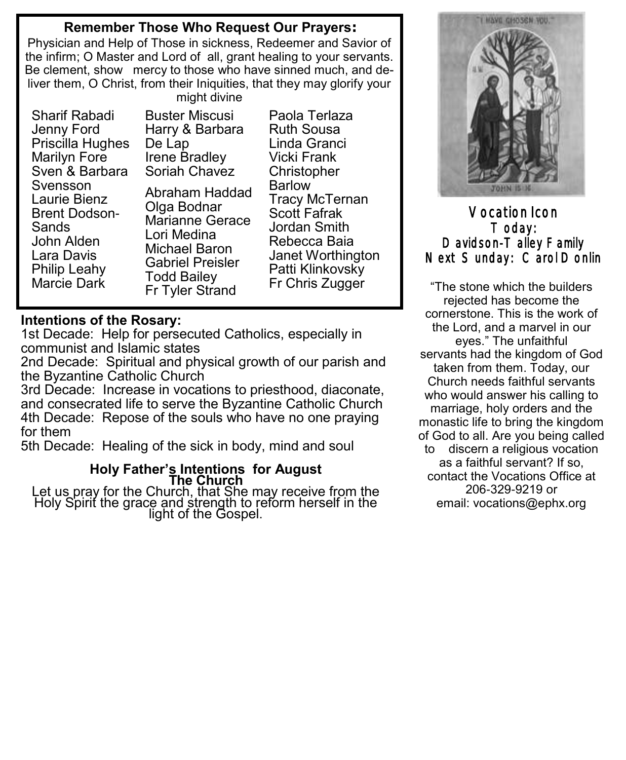### **Remember Those Who Request Our Prayers:**

Physician and Help of Those in sickness, Redeemer and Savior of the infirm; O Master and Lord of all, grant healing to your servants. Be clement, show mercy to those who have sinned much, and deliver them, O Christ, from their Iniquities, that they may glorify your might divine

Sharif Rabadi Jenny Ford Priscilla Hughes Marilyn Fore Sven & Barbara Svensson Laurie Bienz Brent Dodson-Sands John Alden Lara Davis Philip Leahy Marcie Dark

Buster Miscusi Harry & Barbara De Lap Irene Bradley Soriah Chavez Abraham Haddad Olga Bodnar Marianne Gerace Lori Medina Michael Baron Gabriel Preisler Todd Bailey Fr Tyler Strand

Paola Terlaza Ruth Sousa Linda Granci Vicki Frank **Christopher** Barlow Tracy McTernan Scott Fafrak Jordan Smith Rebecca Baia Janet Worthington Patti Klinkovsky Fr Chris Zugger

## **Intentions of the Rosary:**

1st Decade: Help for persecuted Catholics, especially in communist and Islamic states

2nd Decade: Spiritual and physical growth of our parish and the Byzantine Catholic Church

3rd Decade: Increase in vocations to priesthood, diaconate, and consecrated life to serve the Byzantine Catholic Church 4th Decade: Repose of the souls who have no one praying for them

5th Decade: Healing of the sick in body, mind and soul

#### **Holy Father's Intentions for August The Church**

Let us pray for the Church, that She may receive from the Holy Spirit the grace and strength to reform herself in the light of the Gospel.



Vocation Icon Today: Davidson-T alley Family Next Sunday: Carol Donlin

"The stone which the builders rejected has become the cornerstone. This is the work of the Lord, and a marvel in our eyes." The unfaithful servants had the kingdom of God taken from them. Today, our Church needs faithful servants who would answer his calling to marriage, holy orders and the monastic life to bring the kingdom of God to all. Are you being called to discern a religious vocation as a faithful servant? If so, contact the Vocations Office at 206-329-9219 or email: [vocations@ephx.org](mailto:vocations@ephx.org%20)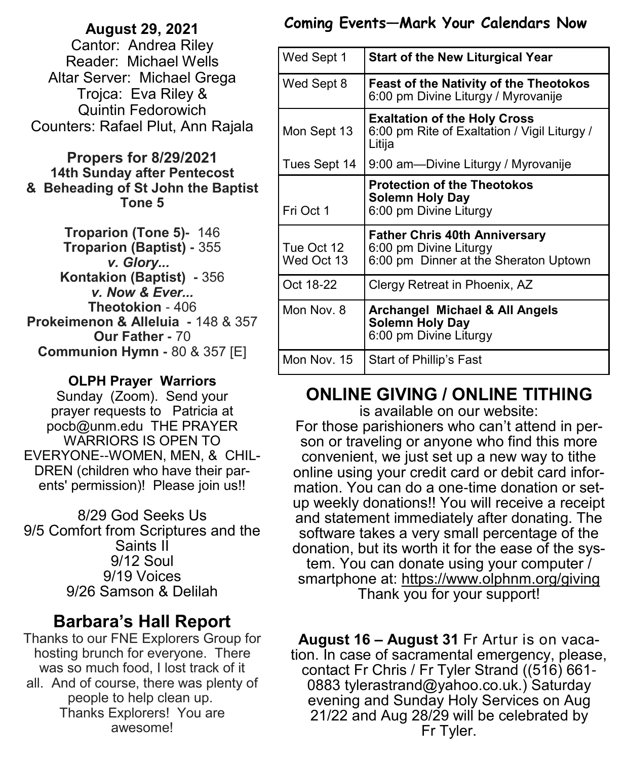### **August 29, 2021**

Cantor: Andrea Riley Reader: Michael Wells Altar Server: Michael Grega Trojca: Eva Riley & Quintin Fedorowich Counters: Rafael Plut, Ann Rajala

#### **Propers for 8/29/2021 14th Sunday after Pentecost & Beheading of St John the Baptist Tone 5**

**Troparion (Tone 5)-** 146 **Troparion (Baptist) -** 355 *v. Glory...*  **Kontakion (Baptist) -** 356 *v. Now & Ever...* **Theotokion** - 406 **Prokeimenon & Alleluia -** 148 & 357 **Our Father -** 70 **Communion Hymn -** 80 & 357 [E]

**OLPH Prayer Warriors** 

Sunday (Zoom). Send your prayer requests to Patricia at pocb@unm.edu THE PRAYER WARRIORS IS OPEN TO EVERYONE--WOMEN, MEN, & CHIL-DREN (children who have their parents' permission)! Please join us!!

8/29 God Seeks Us 9/5 Comfort from Scriptures and the Saints II 9/12 Soul 9/19 Voices 9/26 Samson & Delilah

## **Barbara's Hall Report**

Thanks to our FNE Explorers Group for hosting brunch for everyone. There was so much food, I lost track of it all. And of course, there was plenty of people to help clean up. Thanks Explorers! You are awesome!

## **Coming Events—Mark Your Calendars Now**

| Wed Sept 1               | <b>Start of the New Liturgical Year</b>                                                                 |
|--------------------------|---------------------------------------------------------------------------------------------------------|
| Wed Sept 8               | Feast of the Nativity of the Theotokos<br>6:00 pm Divine Liturgy / Myrovanije                           |
| Mon Sept 13              | <b>Exaltation of the Holy Cross</b><br>6:00 pm Rite of Exaltation / Vigil Liturgy /<br>Litija           |
| Tues Sept 14             | 9:00 am—Divine Liturgy / Myrovanije                                                                     |
| Fri Oct 1                | <b>Protection of the Theotokos</b><br>Solemn Holy Day<br>6:00 pm Divine Liturgy                         |
| Tue Oct 12<br>Wed Oct 13 | <b>Father Chris 40th Anniversary</b><br>6:00 pm Divine Liturgy<br>6:00 pm Dinner at the Sheraton Uptown |
| Oct 18-22                | Clergy Retreat in Phoenix, AZ                                                                           |
| Mon Nov. 8               | Archangel Michael & All Angels<br>Solemn Holy Day<br>6:00 pm Divine Liturgy                             |
| Mon Nov. 15              | Start of Phillip's Fast                                                                                 |

## **ONLINE GIVING / ONLINE TITHING**

is available on our website: For those parishioners who can't attend in person or traveling or anyone who find this more convenient, we just set up a new way to tithe online using your credit card or debit card information. You can do a one-time donation or setup weekly donations!! You will receive a receipt and statement immediately after donating. The software takes a very small percentage of the donation, but its worth it for the ease of the system. You can donate using your computer / smartphone at: https://www.olphnm.org/giving Thank you for your support!

**August 16 – August 31** Fr Artur is on vacation. In case of sacramental emergency, please, contact Fr Chris / Fr Tyler Strand ((516) 661- 0883 tylerastrand@yahoo.co.uk.) Saturday evening and Sunday Holy Services on Aug 21/22 and Aug 28/29 will be celebrated by Fr Tyler.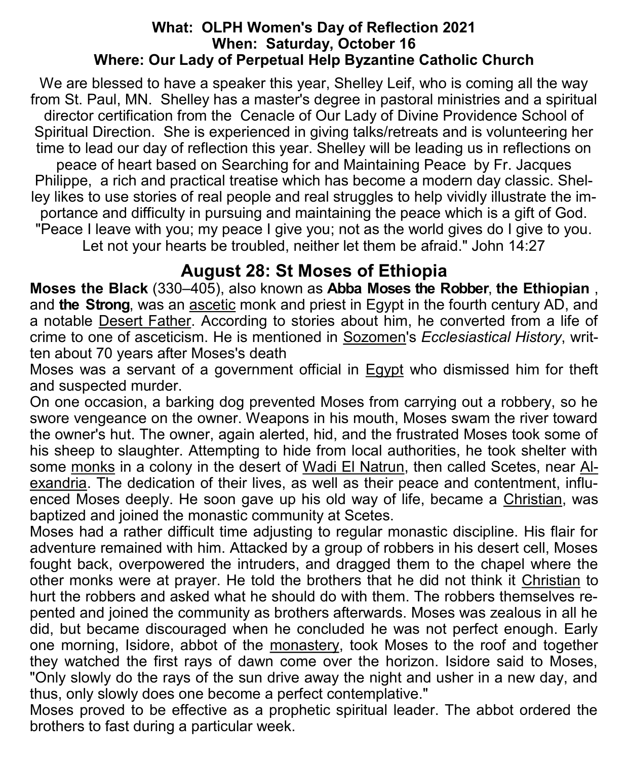### **What: OLPH Women's Day of Reflection 2021 When: Saturday, October 16 Where: Our Lady of Perpetual Help Byzantine Catholic Church**

We are blessed to have a speaker this year, Shelley Leif, who is coming all the way from St. Paul, MN. Shelley has a master's degree in pastoral ministries and a spiritual director certification from the Cenacle of Our Lady of Divine Providence School of Spiritual Direction. She is experienced in giving talks/retreats and is volunteering her time to lead our day of reflection this year. Shelley will be leading us in reflections on peace of heart based on Searching for and Maintaining Peace by Fr. Jacques Philippe, a rich and practical treatise which has become a modern day classic. Shelley likes to use stories of real people and real struggles to help vividly illustrate the importance and difficulty in pursuing and maintaining the peace which is a gift of God. "Peace I leave with you; my peace I give you; not as the world gives do I give to you. Let not your hearts be troubled, neither let them be afraid." John 14:27

### **August 28: St Moses of Ethiopia**

**Moses the Black** (330–405), also known as **Abba Moses the Robber**, **the Ethiopian** , and **the Strong**, was an [ascetic](https://en.wikipedia.org/wiki/Asceticism) monk and priest in Egypt in the fourth century AD, and a notable [Desert Father.](https://en.wikipedia.org/wiki/Desert_Father) According to stories about him, he converted from a life of crime to one of asceticism. He is mentioned in [Sozomen'](https://en.wikipedia.org/wiki/Sozomen)s *Ecclesiastical History*, written about 70 years after Moses's death

Moses was a servant of a government official in [Egypt](https://en.wikipedia.org/wiki/Egypt) who dismissed him for theft and suspected murder.

On one occasion, a barking dog prevented Moses from carrying out a robbery, so he swore vengeance on the owner. Weapons in his mouth, Moses swam the river toward the owner's hut. The owner, again alerted, hid, and the frustrated Moses took some of his sheep to slaughter. Attempting to hide from local authorities, he took shelter with some [monks](https://en.wikipedia.org/wiki/Monk) in a colony in the desert of [Wadi El Natrun,](https://en.wikipedia.org/wiki/Wadi_El_Natrun) then called Scetes, near [Al](https://en.wikipedia.org/wiki/Alexandria)[exandria.](https://en.wikipedia.org/wiki/Alexandria) The dedication of their lives, as well as their peace and contentment, influenced Moses deeply. He soon gave up his old way of life, became a [Christian,](https://en.wikipedia.org/wiki/Christians) was baptized and joined the monastic community at Scetes.

Moses had a rather difficult time adjusting to regular monastic discipline. His flair for adventure remained with him. Attacked by a group of robbers in his desert cell, Moses fought back, overpowered the intruders, and dragged them to the chapel where the other monks were at prayer. He told the brothers that he did not think it [Christian](https://en.wikipedia.org/wiki/Christianity) to hurt the robbers and asked what he should do with them. The robbers themselves repented and joined the community as brothers afterwards. Moses was zealous in all he did, but became discouraged when he concluded he was not perfect enough. Early one morning, Isidore, abbot of the [monastery,](https://en.wikipedia.org/wiki/Monastery) took Moses to the roof and together they watched the first rays of dawn come over the horizon. Isidore said to Moses, "Only slowly do the rays of the sun drive away the night and usher in a new day, and thus, only slowly does one become a perfect contemplative."

Moses proved to be effective as a prophetic spiritual leader. The abbot ordered the brothers to fast during a particular week.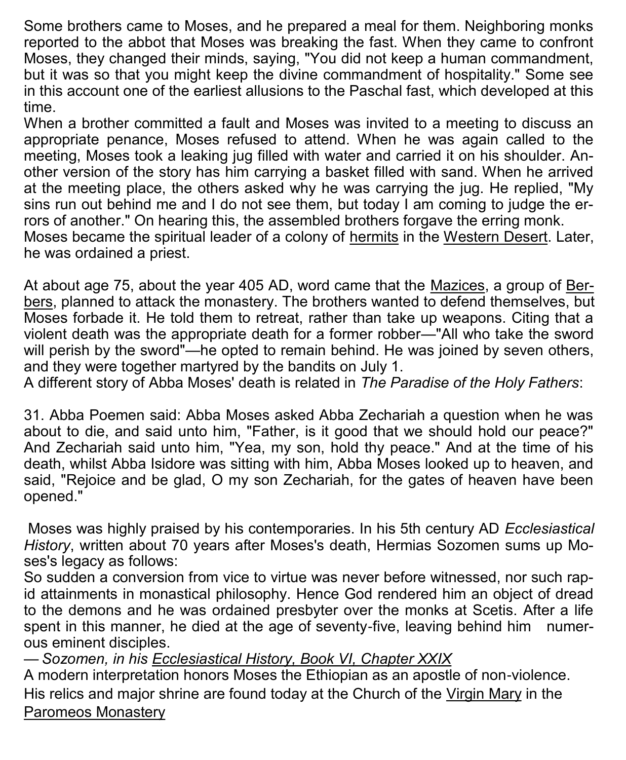Some brothers came to Moses, and he prepared a meal for them. Neighboring monks reported to the abbot that Moses was breaking the fast. When they came to confront Moses, they changed their minds, saying, "You did not keep a human commandment, but it was so that you might keep the divine commandment of hospitality." Some see in this account one of the earliest allusions to the Paschal fast, which developed at this time.

When a brother committed a fault and Moses was invited to a meeting to discuss an appropriate penance, Moses refused to attend. When he was again called to the meeting, Moses took a leaking jug filled with water and carried it on his shoulder. Another version of the story has him carrying a basket filled with sand. When he arrived at the meeting place, the others asked why he was carrying the jug. He replied, "My sins run out behind me and I do not see them, but today I am coming to judge the errors of another." On hearing this, the assembled brothers forgave the erring monk. Moses became the spiritual leader of a colony of [hermits](https://en.wikipedia.org/wiki/Hermits) in the [Western Desert.](https://en.wikipedia.org/wiki/Western_Desert_(North_Africa)) Later, he was ordained a priest.

At about age 75, about the year 405 AD, word came that the [Mazices,](https://en.wikipedia.org/wiki/Mazices) a group of [Ber](https://en.wikipedia.org/wiki/Berber_people)[bers,](https://en.wikipedia.org/wiki/Berber_people) planned to attack the monastery. The brothers wanted to defend themselves, but Moses forbade it. He told them to retreat, rather than take up weapons. Citing that a violent death was the appropriate death for a former robber—"All who take the sword will perish by the sword"—he opted to remain behind. He was joined by seven others, and they were together martyred by the bandits on July 1.

A different story of Abba Moses' death is related in *The Paradise of the Holy Fathers*:

31. Abba Poemen said: Abba Moses asked Abba Zechariah a question when he was about to die, and said unto him, "Father, is it good that we should hold our peace?" And Zechariah said unto him, "Yea, my son, hold thy peace." And at the time of his death, whilst Abba Isidore was sitting with him, Abba Moses looked up to heaven, and said, "Rejoice and be glad, O my son Zechariah, for the gates of heaven have been opened."

Moses was highly praised by his contemporaries. In his 5th century AD *Ecclesiastical History*, written about 70 years after Moses's death, Hermias Sozomen sums up Moses's legacy as follows:

So sudden a conversion from vice to virtue was never before witnessed, nor such rapid attainments in monastical philosophy. Hence God rendered him an object of dread to the demons and he was ordained presbyter over the monks at Scetis. After a life spent in this manner, he died at the age of seventy-five, leaving behind him numerous eminent disciples.

— *Sozomen, in his [Ecclesiastical History, Book VI, Chapter XXIX](http://www.arxpub.com/evolpub/CRE/CREseries.html#CRE12)*

A modern interpretation honors Moses the Ethiopian as an apostle of non-violence. His relics and major shrine are found today at the Church of the [Virgin Mary](https://en.wikipedia.org/wiki/Virgin_Mary) in the [Paromeos Monastery](https://en.wikipedia.org/wiki/Paromeos_Monastery)